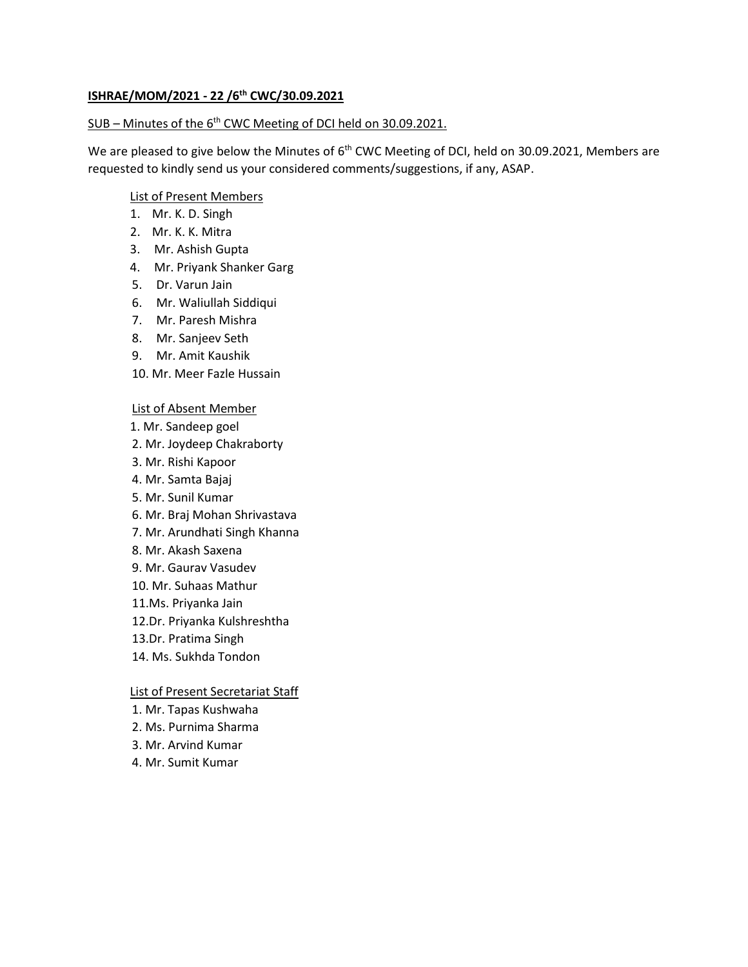# **ISHRAE/MOM/2021 - 22 /6 th CWC/30.09.2021**

## SUB - Minutes of the 6<sup>th</sup> CWC Meeting of DCI held on 30.09.2021.

We are pleased to give below the Minutes of 6<sup>th</sup> CWC Meeting of DCI, held on 30.09.2021, Members are requested to kindly send us your considered comments/suggestions, if any, ASAP.

### List of Present Members

- 1. Mr. K. D. Singh
- 2. Mr. K. K. Mitra
- 3. Mr. Ashish Gupta
- 4. Mr. Priyank Shanker Garg
- 5. Dr. Varun Jain
- 6. Mr. Waliullah Siddiqui
- 7. Mr. Paresh Mishra
- 8. Mr. Sanjeev Seth
- 9. Mr. Amit Kaushik
- 10. Mr. Meer Fazle Hussain

#### List of Absent Member

- 1. Mr. Sandeep goel
- 2. Mr. Joydeep Chakraborty
- 3. Mr. Rishi Kapoor
- 4. Mr. Samta Bajaj
- 5. Mr. Sunil Kumar
- 6. Mr. Braj Mohan Shrivastava
- 7. Mr. Arundhati Singh Khanna
- 8. Mr. Akash Saxena
- 9. Mr. Gaurav Vasudev
- 10. Mr. Suhaas Mathur
- 11.Ms. Priyanka Jain
- 12.Dr. Priyanka Kulshreshtha
- 13.Dr. Pratima Singh
- 14. Ms. Sukhda Tondon

# List of Present Secretariat Staff

- 1. Mr. Tapas Kushwaha
- 2. Ms. Purnima Sharma
- 3. Mr. Arvind Kumar
- 4. Mr. Sumit Kumar